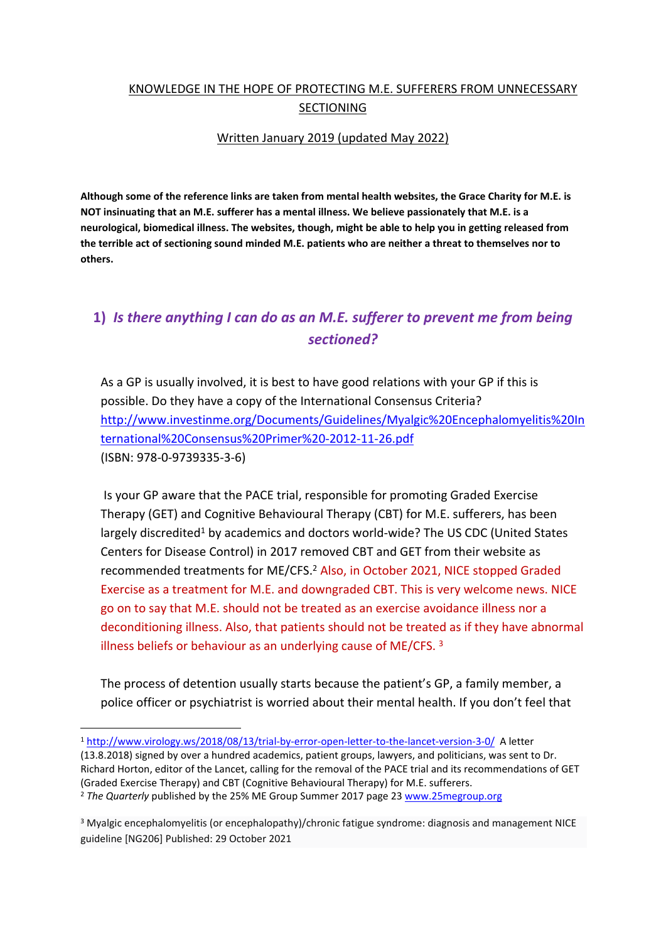### KNOWLEDGE IN THE HOPE OF PROTECTING M.E. SUFFERERS FROM UNNECESSARY SECTIONING

#### Written January 2019 (updated May 2022)

**Although some of the reference links are taken from mental health websites, the Grace Charity for M.E. is NOT insinuating that an M.E. sufferer has a mental illness. We believe passionately that M.E. is a neurological, biomedical illness. The websites, though, might be able to help you in getting released from the terrible act of sectioning sound minded M.E. patients who are neither a threat to themselves nor to others.** 

# **1)** *Is there anything I can do as an M.E. sufferer to prevent me from being sectioned?*

As a GP is usually involved, it is best to have good relations with your GP if this is possible. Do they have a copy of the International Consensus Criteria? [http://www.investinme.org/Documents/Guidelines/Myalgic%20Encephalomyelitis%20In](http://www.investinme.org/Documents/Guidelines/Myalgic%20Encephalomyelitis%20International%20Consensus%20Primer%20-2012-11-26.pdf) [ternational%20Consensus%20Primer%20-2012-11-26.pdf](http://www.investinme.org/Documents/Guidelines/Myalgic%20Encephalomyelitis%20International%20Consensus%20Primer%20-2012-11-26.pdf) (ISBN: 978-0-9739335-3-6)

 Is your GP aware that the PACE trial, responsible for promoting Graded Exercise Therapy (GET) and Cognitive Behavioural Therapy (CBT) for M.E. sufferers, has been largely discredited<sup>1</sup> by academics and doctors world-wide? The US CDC (United States Centers for Disease Control) in 2017 removed CBT and GET from their website as recommended treatments for ME/CFS.<sup>2</sup> Also, in October 2021, NICE stopped Graded Exercise as a treatment for M.E. and downgraded CBT. This is very welcome news. NICE go on to say that M.E. should not be treated as an exercise avoidance illness nor a deconditioning illness. Also, that patients should not be treated as if they have abnormal illness beliefs or behaviour as an underlying cause of ME/CFS. <sup>3</sup>

The process of detention usually starts because the patient's GP, a family member, a police officer or psychiatrist is worried about their mental health. If you don't feel that

(13.8.2018) signed by over a hundred academics, patient groups, lawyers, and politicians, was sent to Dr. Richard Horton, editor of the Lancet, calling for the removal of the PACE trial and its recommendations of GET (Graded Exercise Therapy) and CBT (Cognitive Behavioural Therapy) for M.E. sufferers. <sup>2</sup> *The Quarterly* published by the 25% ME Group Summer 2017 page 23 [www.25megroup.org](http://www.25megroup.org/)

<sup>3</sup> Myalgic encephalomyelitis (or encephalopathy)/chronic fatigue syndrome: diagnosis and management NICE guideline [NG206] Published: 29 October 2021

<sup>1</sup> <http://www.virology.ws/2018/08/13/trial-by-error-open-letter-to-the-lancet-version-3-0/> A letter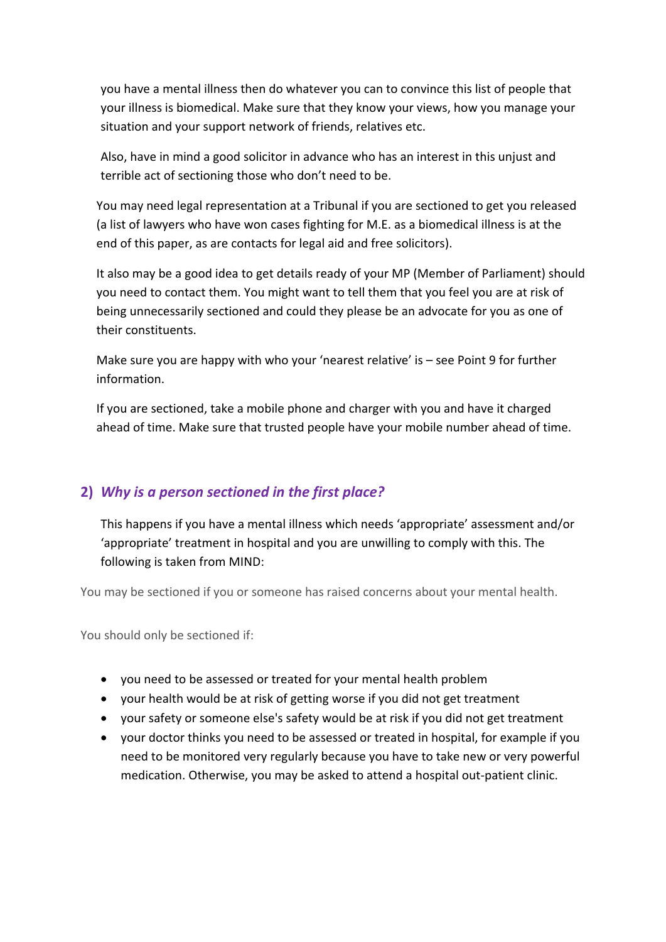you have a mental illness then do whatever you can to convince this list of people that your illness is biomedical. Make sure that they know your views, how you manage your situation and your support network of friends, relatives etc.

Also, have in mind a good solicitor in advance who has an interest in this unjust and terrible act of sectioning those who don't need to be.

You may need legal representation at a Tribunal if you are sectioned to get you released (a list of lawyers who have won cases fighting for M.E. as a biomedical illness is at the end of this paper, as are contacts for legal aid and free solicitors).

It also may be a good idea to get details ready of your MP (Member of Parliament) should you need to contact them. You might want to tell them that you feel you are at risk of being unnecessarily sectioned and could they please be an advocate for you as one of their constituents.

Make sure you are happy with who your 'nearest relative' is – see Point 9 for further information.

If you are sectioned, take a mobile phone and charger with you and have it charged ahead of time. Make sure that trusted people have your mobile number ahead of time.

## **2)** *Why is a person sectioned in the first place?*

This happens if you have a mental illness which needs 'appropriate' assessment and/or 'appropriate' treatment in hospital and you are unwilling to comply with this. The following is taken from MIND:

You may be sectioned if you or someone has raised concerns about your mental health.

You should only be sectioned if:

- you need to be assessed or treated for your mental health problem
- your health would be at risk of getting worse if you did not get treatment
- your safety or someone else's safety would be at risk if you did not get treatment
- your doctor thinks you need to be assessed or treated in hospital, for example if you need to be monitored very regularly because you have to take new or very powerful medication. Otherwise, you may be asked to attend a hospital out-patient clinic.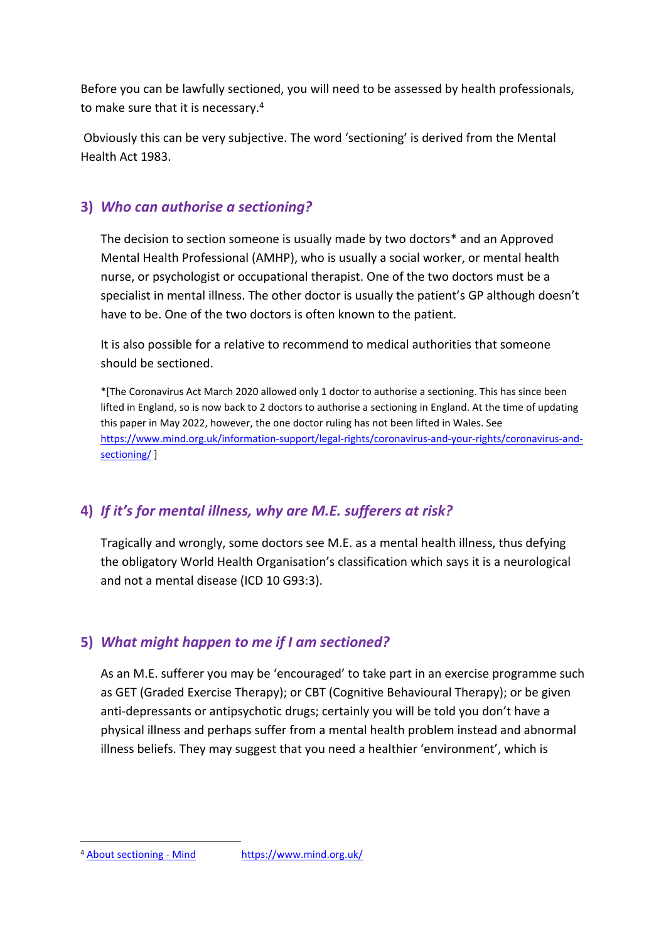Before you can be lawfully sectioned, you will need to be assessed by health professionals, to make sure that it is necessary.<sup>4</sup>

 Obviously this can be very subjective. The word 'sectioning' is derived from the Mental Health Act 1983.

### **3)** *Who can authorise a sectioning?*

The decision to section someone is usually made by two doctors\* and an Approved Mental Health Professional (AMHP), who is usually a social worker, or mental health nurse, or psychologist or occupational therapist. One of the two doctors must be a specialist in mental illness. The other doctor is usually the patient's GP although doesn't have to be. One of the two doctors is often known to the patient.

It is also possible for a relative to recommend to medical authorities that someone should be sectioned.

\*[The Coronavirus Act March 2020 allowed only 1 doctor to authorise a sectioning. This has since been lifted in England, so is now back to 2 doctors to authorise a sectioning in England. At the time of updating this paper in May 2022, however, the one doctor ruling has not been lifted in Wales. See [https://www.mind.org.uk/information-support/legal-rights/coronavirus-and-your-rights/coronavirus-and](https://www.mind.org.uk/information-support/legal-rights/coronavirus-and-your-rights/coronavirus-and-sectioning/)[sectioning/](https://www.mind.org.uk/information-support/legal-rights/coronavirus-and-your-rights/coronavirus-and-sectioning/) ]

## **4)** *If it's for mental illness, why are M.E. sufferers at risk?*

Tragically and wrongly, some doctors see M.E. as a mental health illness, thus defying the obligatory World Health Organisation's classification which says it is a neurological and not a mental disease (ICD 10 G93:3).

### **5)** *What might happen to me if I am sectioned?*

As an M.E. sufferer you may be 'encouraged' to take part in an exercise programme such as GET (Graded Exercise Therapy); or CBT (Cognitive Behavioural Therapy); or be given anti-depressants or antipsychotic drugs; certainly you will be told you don't have a physical illness and perhaps suffer from a mental health problem instead and abnormal illness beliefs. They may suggest that you need a healthier 'environment', which is

<sup>4</sup> [About sectioning - Mind](https://www.mind.org.uk/information-support/legal-rights/sectioning/about-sectioning/) <https://www.mind.org.uk/>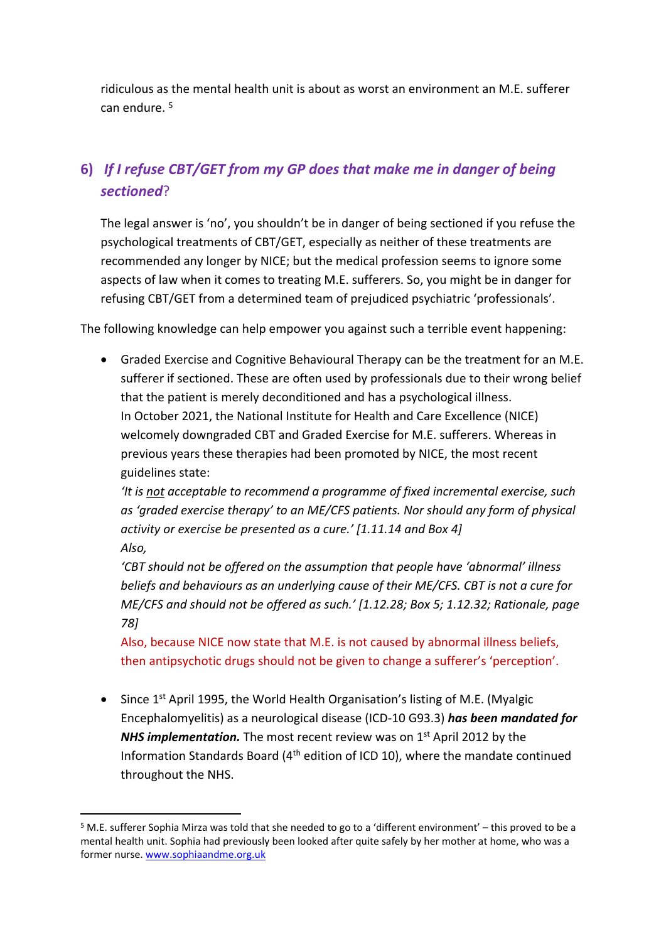ridiculous as the mental health unit is about as worst an environment an M.E. sufferer can endure. <sup>5</sup>

# **6)** *If I refuse CBT/GET from my GP does that make me in danger of being sectioned*?

The legal answer is 'no', you shouldn't be in danger of being sectioned if you refuse the psychological treatments of CBT/GET, especially as neither of these treatments are recommended any longer by NICE; but the medical profession seems to ignore some aspects of law when it comes to treating M.E. sufferers. So, you might be in danger for refusing CBT/GET from a determined team of prejudiced psychiatric 'professionals'.

The following knowledge can help empower you against such a terrible event happening:

 Graded Exercise and Cognitive Behavioural Therapy can be the treatment for an M.E. sufferer if sectioned. These are often used by professionals due to their wrong belief that the patient is merely deconditioned and has a psychological illness. In October 2021, the National Institute for Health and Care Excellence (NICE) welcomely downgraded CBT and Graded Exercise for M.E. sufferers. Whereas in previous years these therapies had been promoted by NICE, the most recent guidelines state:

*'It is not acceptable to recommend a programme of fixed incremental exercise, such as 'graded exercise therapy' to an ME/CFS patients. Nor should any form of physical activity or exercise be presented as a cure.' [1.11.14 and Box 4] Also,*

*'CBT should not be offered on the assumption that people have 'abnormal' illness beliefs and behaviours as an underlying cause of their ME/CFS. CBT is not a cure for ME/CFS and should not be offered as such.' [1.12.28; Box 5; 1.12.32; Rationale, page 78]*

Also, because NICE now state that M.E. is not caused by abnormal illness beliefs, then antipsychotic drugs should not be given to change a sufferer's 'perception'.

 $\bullet$  Since 1<sup>st</sup> April 1995, the World Health Organisation's listing of M.E. (Myalgic Encephalomyelitis) as a neurological disease (ICD-10 G93.3) *has been mandated for*  **NHS implementation.** The most recent review was on 1<sup>st</sup> April 2012 by the Information Standards Board (4th edition of ICD 10), where the mandate continued throughout the NHS.

<sup>&</sup>lt;sup>5</sup> M.E. sufferer Sophia Mirza was told that she needed to go to a 'different environment' – this proved to be a mental health unit. Sophia had previously been looked after quite safely by her mother at home, who was a former nurse. [www.sophiaandme.org.uk](http://www.sophiaandme.org.uk/)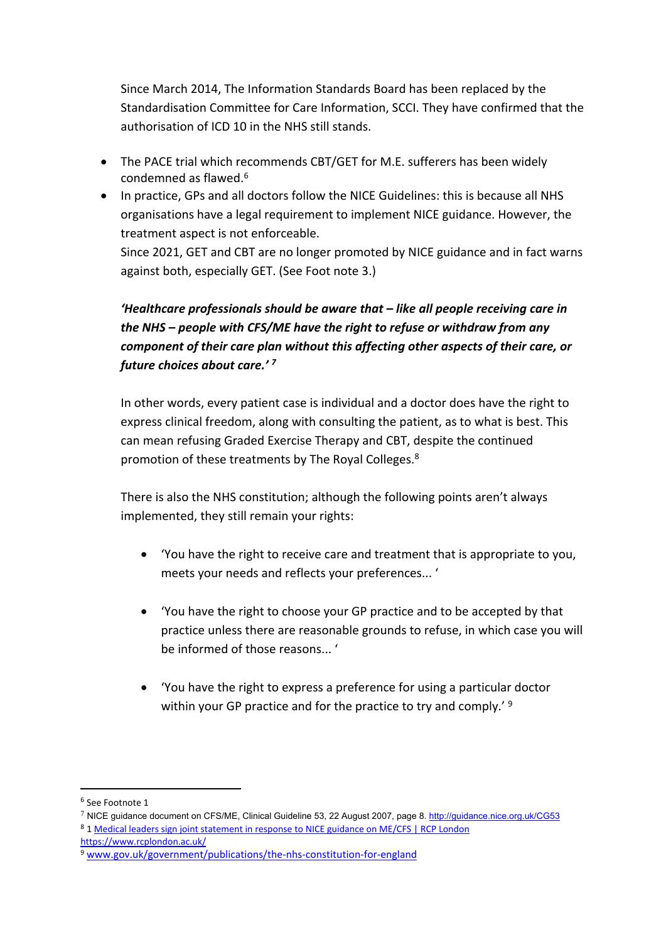Since March 2014, The Information Standards Board has been replaced by the Standardisation Committee for Care Information, SCCI. They have confirmed that the authorisation of ICD 10 in the NHS still stands.

- The PACE trial which recommends CBT/GET for M.E. sufferers has been widely condemned as flawed.<sup>6</sup>
- In practice, GPs and all doctors follow the NICE Guidelines: this is because all NHS organisations have a legal requirement to implement NICE guidance. However, the treatment aspect is not enforceable.

Since 2021, GET and CBT are no longer promoted by NICE guidance and in fact warns against both, especially GET. (See Foot note 3.)

## *'Healthcare professionals should be aware that – like all people receiving care in the NHS – people with CFS/ME have the right to refuse or withdraw from any component of their care plan without this affecting other aspects of their care, or future choices about care.' <sup>7</sup>*

In other words, every patient case is individual and a doctor does have the right to express clinical freedom, along with consulting the patient, as to what is best. This can mean refusing Graded Exercise Therapy and CBT, despite the continued promotion of these treatments by The Royal Colleges.<sup>8</sup>

There is also the NHS constitution; although the following points aren't always implemented, they still remain your rights:

- 'You have the right to receive care and treatment that is appropriate to you, meets your needs and reflects your preferences... '
- 'You have the right to choose your GP practice and to be accepted by that practice unless there are reasonable grounds to refuse, in which case you will be informed of those reasons... '
- 'You have the right to express a preference for using a particular doctor within your GP practice and for the practice to try and comply.' <sup>9</sup>

<sup>6</sup> See Footnote 1

<sup>7</sup> NICE guidance document on CFS/ME, Clinical Guideline 53, 22 August 2007, page 8. <http://guidance.nice.org.uk/CG53> <sup>8</sup> 1 [Medical leaders sign joint statement in response to NICE guidance on ME/CFS | RCP London](https://www.rcplondon.ac.uk/news/medical-leaders-sign-joint-statement-response-nice-guidance-mecfs)

<https://www.rcplondon.ac.uk/>

<sup>9</sup> [www.gov.uk/government/publications/the-nhs-constitution-for-england](http://www.gov.uk/government/publications/the-nhs-constitution-for-england)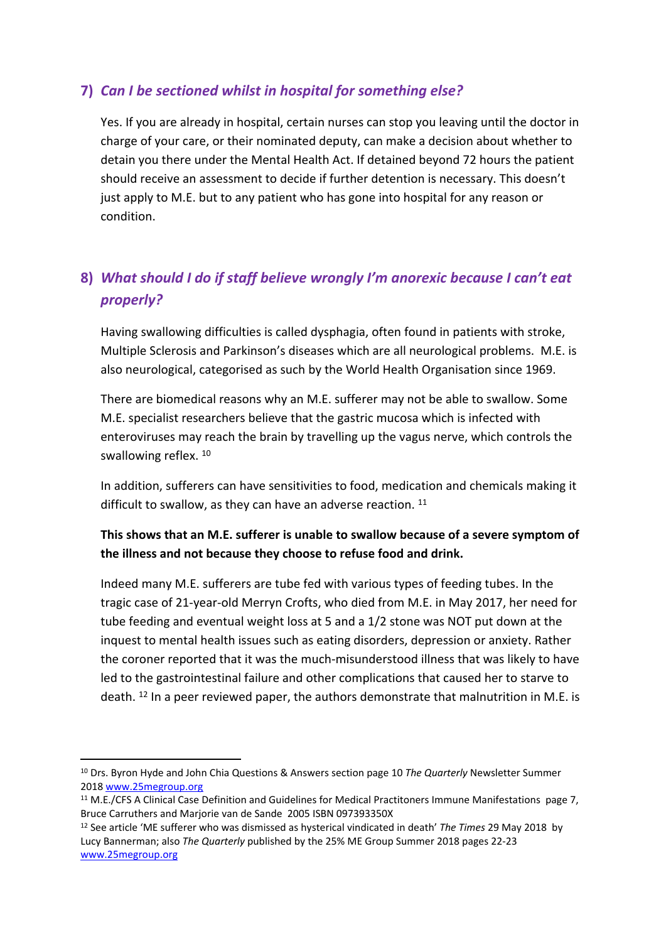### **7)** *Can I be sectioned whilst in hospital for something else?*

Yes. If you are already in hospital, certain nurses can stop you leaving until the doctor in charge of your care, or their nominated deputy, can make a decision about whether to detain you there under the Mental Health Act. If detained beyond 72 hours the patient should receive an assessment to decide if further detention is necessary. This doesn't just apply to M.E. but to any patient who has gone into hospital for any reason or condition.

# **8)** *What should I do if staff believe wrongly I'm anorexic because I can't eat properly?*

Having swallowing difficulties is called dysphagia, often found in patients with stroke, Multiple Sclerosis and Parkinson's diseases which are all neurological problems. M.E. is also neurological, categorised as such by the World Health Organisation since 1969.

There are biomedical reasons why an M.E. sufferer may not be able to swallow. Some M.E. specialist researchers believe that the gastric mucosa which is infected with enteroviruses may reach the brain by travelling up the vagus nerve, which controls the swallowing reflex. <sup>10</sup>

In addition, sufferers can have sensitivities to food, medication and chemicals making it difficult to swallow, as they can have an adverse reaction. <sup>11</sup>

### **This shows that an M.E. sufferer is unable to swallow because of a severe symptom of the illness and not because they choose to refuse food and drink.**

Indeed many M.E. sufferers are tube fed with various types of feeding tubes. In the tragic case of 21-year-old Merryn Crofts, who died from M.E. in May 2017, her need for tube feeding and eventual weight loss at 5 and a 1/2 stone was NOT put down at the inquest to mental health issues such as eating disorders, depression or anxiety. Rather the coroner reported that it was the much-misunderstood illness that was likely to have led to the gastrointestinal failure and other complications that caused her to starve to death.  $^{12}$  In a peer reviewed paper, the authors demonstrate that malnutrition in M.E. is

<sup>10</sup> Drs. Byron Hyde and John Chia Questions & Answers section page 10 *The Quarterly* Newsletter Summer 2018 [www.25megroup.org](http://www.25megroup.org/)

<sup>&</sup>lt;sup>11</sup> M.E./CFS A Clinical Case Definition and Guidelines for Medical Practitoners Immune Manifestations page 7, Bruce Carruthers and Marjorie van de Sande 2005 ISBN 097393350X

<sup>12</sup> See article 'ME sufferer who was dismissed as hysterical vindicated in death' *The Times* 29 May 2018 by Lucy Bannerman; also *The Quarterly* published by the 25% ME Group Summer 2018 pages 22-23 [www.25megroup.org](http://www.25megroup.org/)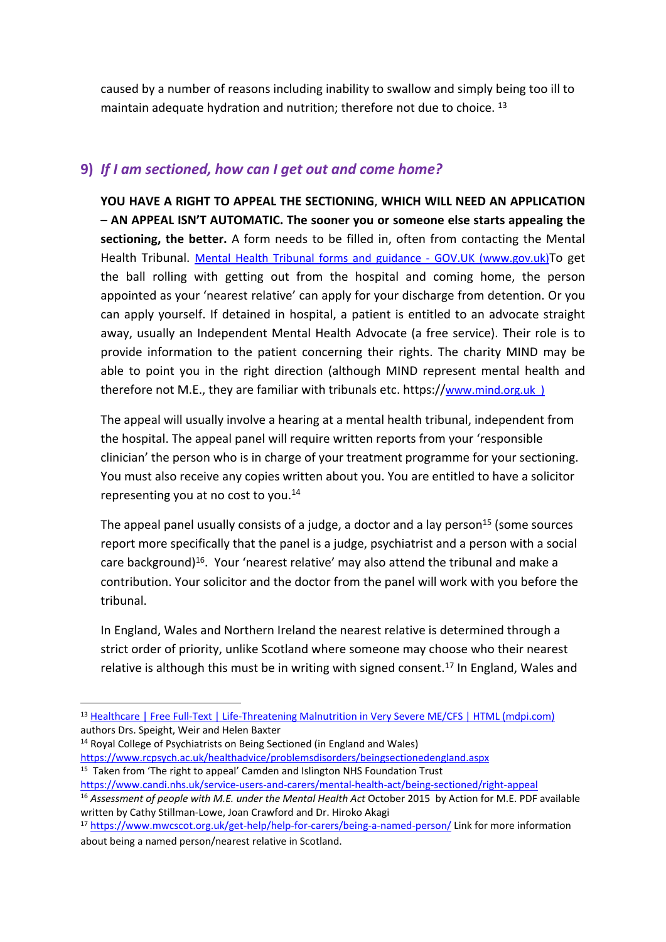caused by a number of reasons including inability to swallow and simply being too ill to maintain adequate hydration and nutrition; therefore not due to choice.<sup>13</sup>

#### **9)** *If I am sectioned, how can I get out and come home?*

**YOU HAVE A RIGHT TO APPEAL THE SECTIONING**, **WHICH WILL NEED AN APPLICATION – AN APPEAL ISN'T AUTOMATIC. The sooner you or someone else starts appealing the sectioning, the better.** A form needs to be filled in, often from contacting the Mental Health Tribunal. [Mental Health Tribunal forms and guidance - GOV.UK \(www.gov.uk\)](https://www.gov.uk/government/collections/mental-health-tribunal-forms)To get the ball rolling with getting out from the hospital and coming home, the person appointed as your 'nearest relative' can apply for your discharge from detention. Or you can apply yourself. If detained in hospital, a patient is entitled to an advocate straight away, usually an Independent Mental Health Advocate (a free service). Their role is to provide information to the patient concerning their rights. The charity MIND may be able to point you in the right direction (although MIND represent mental health and therefore not M.E., they are familiar with tribunals etc. https://[www.mind.org.uk](http://www.mind.org.uk/) )

The appeal will usually involve a hearing at a mental health tribunal, independent from the hospital. The appeal panel will require written reports from your 'responsible clinician' the person who is in charge of your treatment programme for your sectioning. You must also receive any copies written about you. You are entitled to have a solicitor representing you at no cost to you.<sup>14</sup>

The appeal panel usually consists of a judge, a doctor and a lay person<sup>15</sup> (some sources report more specifically that the panel is a judge, psychiatrist and a person with a social care background)<sup>16</sup>. Your 'nearest relative' may also attend the tribunal and make a contribution. Your solicitor and the doctor from the panel will work with you before the tribunal.

In England, Wales and Northern Ireland the nearest relative is determined through a strict order of priority, unlike Scotland where someone may choose who their nearest relative is although this must be in writing with signed consent.<sup>17</sup> In England, Wales and

<sup>14</sup> Royal College of Psychiatrists on Being Sectioned (in England and Wales) <https://www.rcpsych.ac.uk/healthadvice/problemsdisorders/beingsectionedengland.aspx>

<sup>13</sup> [Healthcare | Free Full-Text | Life-Threatening Malnutrition in Very Severe ME/CFS | HTML \(mdpi.com\)](https://www.mdpi.com/2227-9032/9/4/459/htm) authors Drs. Speight, Weir and Helen Baxter

<sup>&</sup>lt;sup>15</sup> Taken from 'The right to appeal' Camden and Islington NHS Foundation Trust <https://www.candi.nhs.uk/service-users-and-carers/mental-health-act/being-sectioned/right-appeal>

<sup>16</sup> *Assessment of people with M.E. under the Mental Health Act* October 2015 by Action for M.E. PDF available written by Cathy Stillman-Lowe, Joan Crawford and Dr. Hiroko Akagi

<sup>17</sup> <https://www.mwcscot.org.uk/get-help/help-for-carers/being-a-named-person/> Link for more information about being a named person/nearest relative in Scotland.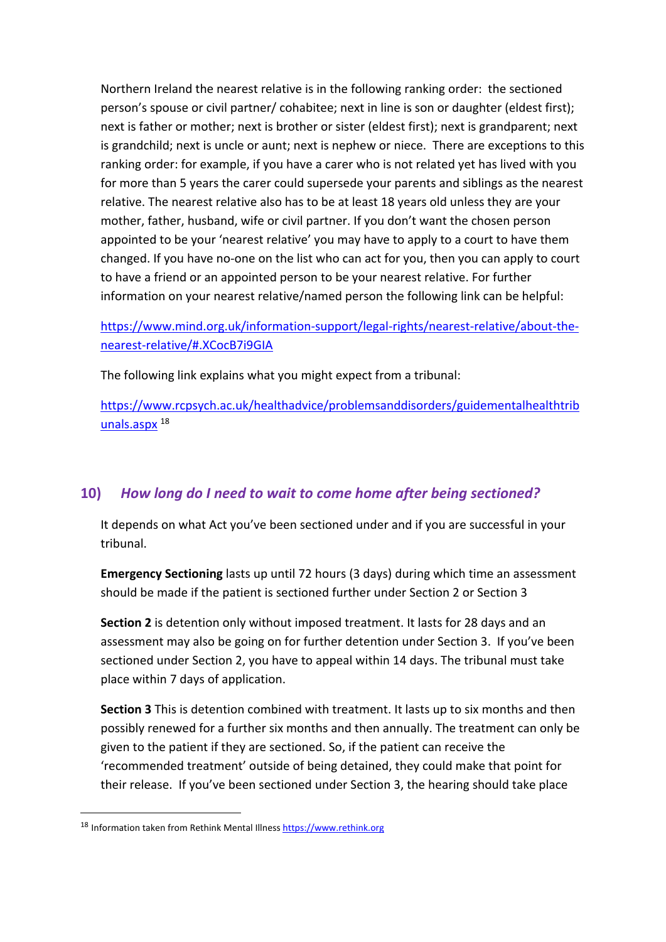Northern Ireland the nearest relative is in the following ranking order: the sectioned person's spouse or civil partner/ cohabitee; next in line is son or daughter (eldest first); next is father or mother; next is brother or sister (eldest first); next is grandparent; next is grandchild; next is uncle or aunt; next is nephew or niece. There are exceptions to this ranking order: for example, if you have a carer who is not related yet has lived with you for more than 5 years the carer could supersede your parents and siblings as the nearest relative. The nearest relative also has to be at least 18 years old unless they are your mother, father, husband, wife or civil partner. If you don't want the chosen person appointed to be your 'nearest relative' you may have to apply to a court to have them changed. If you have no-one on the list who can act for you, then you can apply to court to have a friend or an appointed person to be your nearest relative. For further information on your nearest relative/named person the following link can be helpful:

[https://www.mind.org.uk/information-support/legal-rights/nearest-relative/about-the](https://www.mind.org.uk/information-support/legal-rights/nearest-relative/about-the-nearest-relative/#.XCocB7i9GIA)[nearest-relative/#.XCocB7i9GIA](https://www.mind.org.uk/information-support/legal-rights/nearest-relative/about-the-nearest-relative/#.XCocB7i9GIA)

The following link explains what you might expect from a tribunal:

[https://www.rcpsych.ac.uk/healthadvice/problemsanddisorders/guidementalhealthtrib](https://www.rcpsych.ac.uk/healthadvice/problemsanddisorders/guidementalhealthtribunals.aspx) [unals.aspx](https://www.rcpsych.ac.uk/healthadvice/problemsanddisorders/guidementalhealthtribunals.aspx) <sup>18</sup>

## **10)** *How long do I need to wait to come home after being sectioned?*

It depends on what Act you've been sectioned under and if you are successful in your tribunal.

**Emergency Sectioning** lasts up until 72 hours (3 days) during which time an assessment should be made if the patient is sectioned further under Section 2 or Section 3

**Section 2** is detention only without imposed treatment. It lasts for 28 days and an assessment may also be going on for further detention under Section 3. If you've been sectioned under Section 2, you have to appeal within 14 days. The tribunal must take place within 7 days of application.

**Section 3** This is detention combined with treatment. It lasts up to six months and then possibly renewed for a further six months and then annually. The treatment can only be given to the patient if they are sectioned. So, if the patient can receive the 'recommended treatment' outside of being detained, they could make that point for their release. If you've been sectioned under Section 3, the hearing should take place

<sup>18</sup> Information taken from Rethink Mental Illness [https://www.rethink.org](https://www.rethink.org/)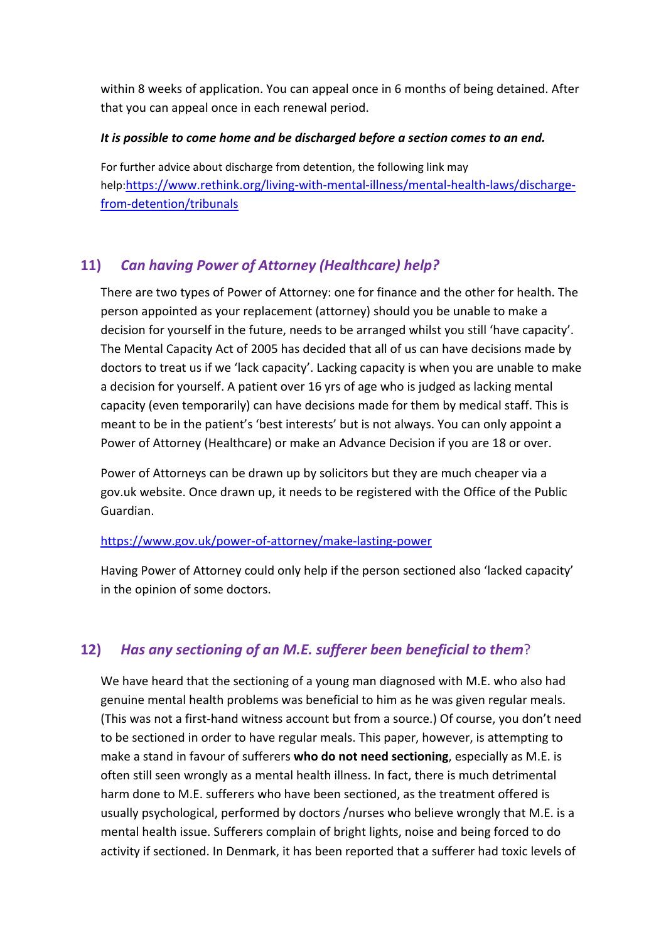within 8 weeks of application. You can appeal once in 6 months of being detained. After that you can appeal once in each renewal period.

#### *It is possible to come home and be discharged before a section comes to an end.*

For further advice about discharge from detention, the following link may help:[https://www.rethink.org/living-with-mental-illness/mental-health-laws/discharge](https://www.rethink.org/living-with-mental-illness/mental-health-laws/discharge-from-detention/tribunals)[from-detention/tribunals](https://www.rethink.org/living-with-mental-illness/mental-health-laws/discharge-from-detention/tribunals)

### **11)** *Can having Power of Attorney (Healthcare) help?*

There are two types of Power of Attorney: one for finance and the other for health. The person appointed as your replacement (attorney) should you be unable to make a decision for yourself in the future, needs to be arranged whilst you still 'have capacity'. The Mental Capacity Act of 2005 has decided that all of us can have decisions made by doctors to treat us if we 'lack capacity'. Lacking capacity is when you are unable to make a decision for yourself. A patient over 16 yrs of age who is judged as lacking mental capacity (even temporarily) can have decisions made for them by medical staff. This is meant to be in the patient's 'best interests' but is not always. You can only appoint a Power of Attorney (Healthcare) or make an Advance Decision if you are 18 or over.

Power of Attorneys can be drawn up by solicitors but they are much cheaper via a gov.uk website. Once drawn up, it needs to be registered with the Office of the Public Guardian.

#### <https://www.gov.uk/power-of-attorney/make-lasting-power>

Having Power of Attorney could only help if the person sectioned also 'lacked capacity' in the opinion of some doctors.

#### **12)** *Has any sectioning of an M.E. sufferer been beneficial to them*?

We have heard that the sectioning of a young man diagnosed with M.E. who also had genuine mental health problems was beneficial to him as he was given regular meals. (This was not a first-hand witness account but from a source.) Of course, you don't need to be sectioned in order to have regular meals. This paper, however, is attempting to make a stand in favour of sufferers **who do not need sectioning**, especially as M.E. is often still seen wrongly as a mental health illness. In fact, there is much detrimental harm done to M.E. sufferers who have been sectioned, as the treatment offered is usually psychological, performed by doctors /nurses who believe wrongly that M.E. is a mental health issue. Sufferers complain of bright lights, noise and being forced to do activity if sectioned. In Denmark, it has been reported that a sufferer had toxic levels of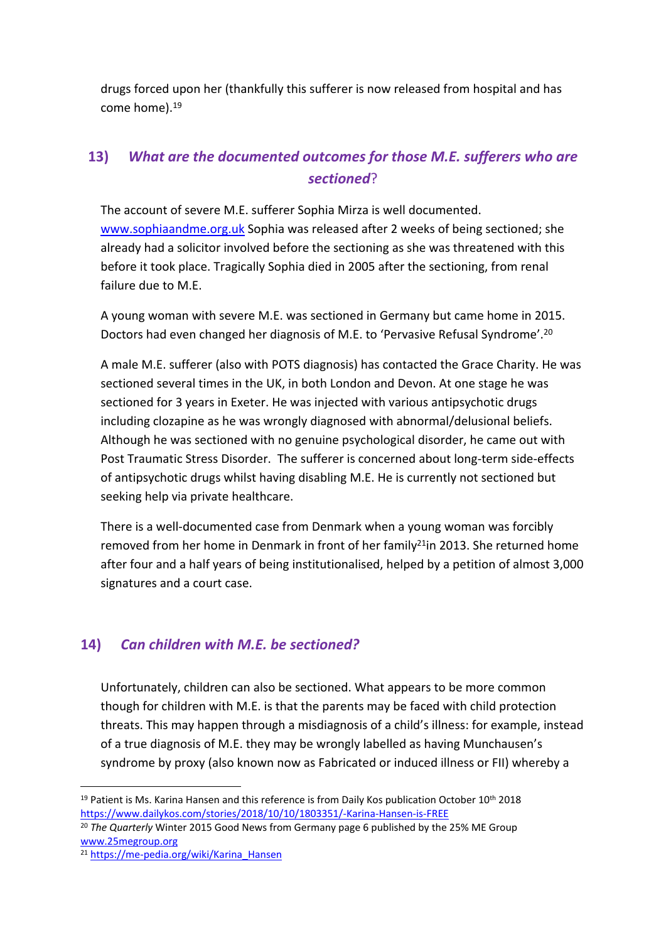drugs forced upon her (thankfully this sufferer is now released from hospital and has come home).<sup>19</sup>

# **13)** *What are the documented outcomes for those M.E. sufferers who are sectioned*?

The account of severe M.E. sufferer Sophia Mirza is well documented. [www.sophiaandme.org.uk](http://www.sophiaandme.org.uk/) Sophia was released after 2 weeks of being sectioned; she already had a solicitor involved before the sectioning as she was threatened with this before it took place. Tragically Sophia died in 2005 after the sectioning, from renal failure due to M.E.

A young woman with severe M.E. was sectioned in Germany but came home in 2015. Doctors had even changed her diagnosis of M.E. to 'Pervasive Refusal Syndrome'.<sup>20</sup>

A male M.E. sufferer (also with POTS diagnosis) has contacted the Grace Charity. He was sectioned several times in the UK, in both London and Devon. At one stage he was sectioned for 3 years in Exeter. He was injected with various antipsychotic drugs including clozapine as he was wrongly diagnosed with abnormal/delusional beliefs. Although he was sectioned with no genuine psychological disorder, he came out with Post Traumatic Stress Disorder. The sufferer is concerned about long-term side-effects of antipsychotic drugs whilst having disabling M.E. He is currently not sectioned but seeking help via private healthcare.

There is a well-documented case from Denmark when a young woman was forcibly removed from her home in Denmark in front of her family<sup>21</sup>in 2013. She returned home after four and a half years of being institutionalised, helped by a petition of almost 3,000 signatures and a court case.

### **14)** *Can children with M.E. be sectioned?*

Unfortunately, children can also be sectioned. What appears to be more common though for children with M.E. is that the parents may be faced with child protection threats. This may happen through a misdiagnosis of a child's illness: for example, instead of a true diagnosis of M.E. they may be wrongly labelled as having Munchausen's syndrome by proxy (also known now as Fabricated or induced illness or FII) whereby a

<sup>&</sup>lt;sup>19</sup> Patient is Ms. Karina Hansen and this reference is from Daily Kos publication October 10<sup>th</sup> 2018 <https://www.dailykos.com/stories/2018/10/10/1803351/-Karina-Hansen-is-FREE>

<sup>20</sup> *The Quarterly* Winter 2015 Good News from Germany page 6 published by the 25% ME Group [www.25megroup.org](http://www.25megroup.org/)

<sup>21</sup> [https://me-pedia.org/wiki/Karina\\_Hansen](https://me-pedia.org/wiki/Karina_Hansen)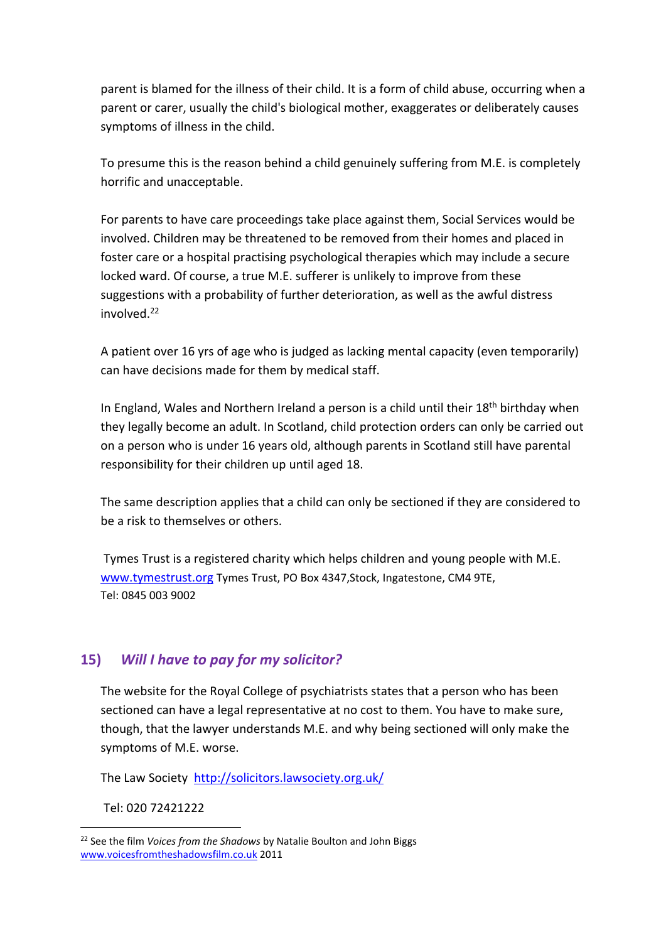parent is blamed for the illness of their child. It is a form of child abuse, occurring when a parent or carer, usually the child's biological mother, exaggerates or deliberately causes symptoms of illness in the child.

To presume this is the reason behind a child genuinely suffering from M.E. is completely horrific and unacceptable.

For parents to have care proceedings take place against them, Social Services would be involved. Children may be threatened to be removed from their homes and placed in foster care or a hospital practising psychological therapies which may include a secure locked ward. Of course, a true M.E. sufferer is unlikely to improve from these suggestions with a probability of further deterioration, as well as the awful distress involved.<sup>22</sup>

A patient over 16 yrs of age who is judged as lacking mental capacity (even temporarily) can have decisions made for them by medical staff.

In England, Wales and Northern Ireland a person is a child until their 18<sup>th</sup> birthday when they legally become an adult. In Scotland, child protection orders can only be carried out on a person who is under 16 years old, although parents in Scotland still have parental responsibility for their children up until aged 18.

The same description applies that a child can only be sectioned if they are considered to be a risk to themselves or others.

Tymes Trust is a registered charity which helps children and young people with M.E. [www.tymestrust.org](http://www.tymestrust.org/) Tymes Trust, PO Box 4347,Stock, Ingatestone, CM4 9TE, Tel: 0845 003 9002

#### **15)** *Will I have to pay for my solicitor?*

The website for the Royal College of psychiatrists states that a person who has been sectioned can have a legal representative at no cost to them. You have to make sure, though, that the lawyer understands M.E. and why being sectioned will only make the symptoms of M.E. worse.

The Law Society <http://solicitors.lawsociety.org.uk/>

Tel: 020 72421222

<sup>22</sup> See the film *Voices from the Shadows* by Natalie Boulton and John Biggs [www.voicesfromtheshadowsfilm.co.uk](http://www.voicesfromtheshadowsfilm.co.uk/) 2011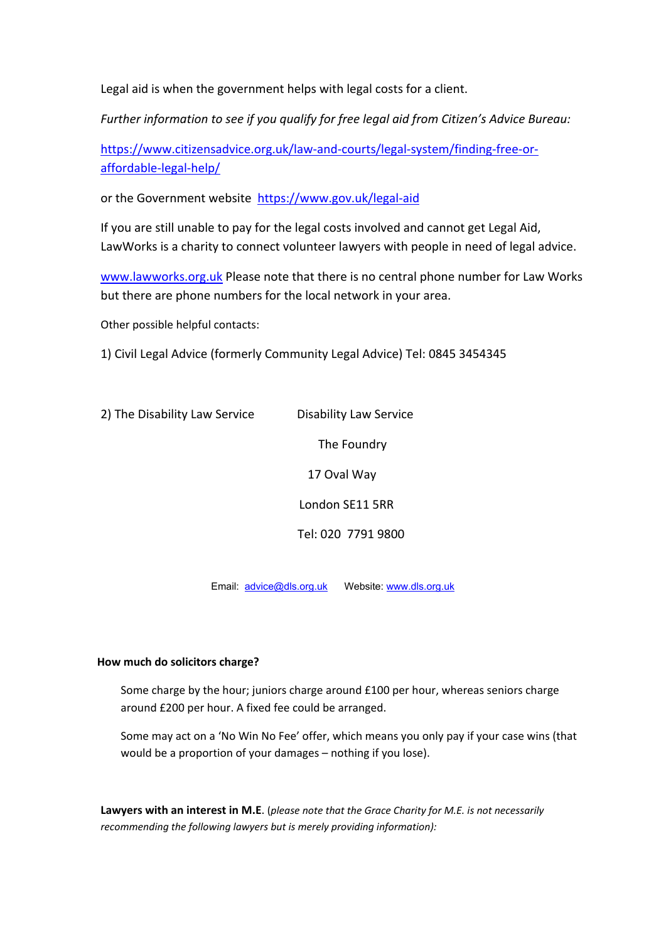Legal aid is when the government helps with legal costs for a client.

*Further information to see if you qualify for free legal aid from Citizen's Advice Bureau:* 

[https://www.citizensadvice.org.uk/law-and-courts/legal-system/finding-free-or](https://www.citizensadvice.org.uk/law-and-courts/legal-system/finding-free-or-affordable-legal-help/)[affordable-legal-help/](https://www.citizensadvice.org.uk/law-and-courts/legal-system/finding-free-or-affordable-legal-help/)

or the Government website <https://www.gov.uk/legal-aid>

If you are still unable to pay for the legal costs involved and cannot get Legal Aid, LawWorks is a charity to connect volunteer lawyers with people in need of legal advice.

[www.lawworks.org.uk](http://www.lawworks.org.uk/) Please note that there is no central phone number for Law Works but there are phone numbers for the local network in your area.

Other possible helpful contacts:

1) Civil Legal Advice (formerly Community Legal Advice) Tel: 0845 3454345

2) The Disability Law Service Disability Law Service The Foundry 17 Oval Way London SE11 5RR Tel: 020 7791 9800 Email: <advice@dls.org.uk>Website: [www.dls.org.uk](http://www.dls.org.uk/)

#### **How much do solicitors charge?**

Some charge by the hour; juniors charge around £100 per hour, whereas seniors charge around £200 per hour. A fixed fee could be arranged.

Some may act on a 'No Win No Fee' offer, which means you only pay if your case wins (that would be a proportion of your damages – nothing if you lose).

**Lawyers with an interest in M.E**. (*please note that the Grace Charity for M.E. is not necessarily recommending the following lawyers but is merely providing information):*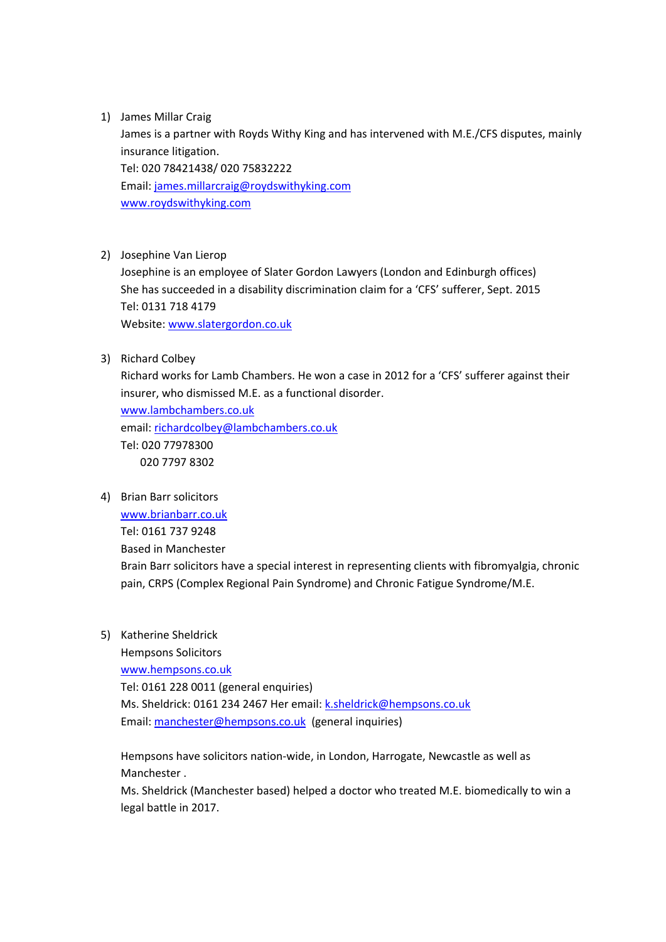1) James Millar Craig

James is a partner with Royds Withy King and has intervened with M.E./CFS disputes, mainly insurance litigation. Tel: 020 78421438/ 020 75832222 Email: [james.millarcraig@roydswithyking.com](mailto:james.millarcraig@roydswithyking.com) [www.roydswithyking.com](http://www.roydswithyking.com/)

2) Josephine Van Lierop

Josephine is an employee of Slater Gordon Lawyers (London and Edinburgh offices) She has succeeded in a disability discrimination claim for a 'CFS' sufferer, Sept. 2015 Tel: 0131 718 4179 Website: [www.slatergordon.co.uk](http://www.slatergordon.co.uk/)

3) Richard Colbey

Richard works for Lamb Chambers. He won a case in 2012 for a 'CFS' sufferer against their insurer, who dismissed M.E. as a functional disorder.

[www.lambchambers.co.uk](http://www.lambchambers.co.uk/) email: [richardcolbey@lambchambers.co.uk](mailto:richardcolbey@lambchambers.co.uk) Tel: 020 77978300 020 7797 8302

4) Brian Barr solicitors

[www.brianbarr.co.uk](http://www.brianbarr.co.uk/) Tel: 0161 737 9248 Based in Manchester Brain Barr solicitors have a special interest in representing clients with fibromyalgia, chronic pain, CRPS (Complex Regional Pain Syndrome) and Chronic Fatigue Syndrome/M.E.

5) Katherine Sheldrick

Hempsons Solicitors [www.hempsons.co.uk](http://www.hempsons.co.uk/) Tel: 0161 228 0011 (general enquiries) Ms. Sheldrick: 0161 234 2467 Her email: [k.sheldrick@hempsons.co.uk](mailto:k.sheldrick@hempsons.co.uk) Email: [manchester@hempsons.co.uk](mailto:manchester@hempsons.co.uk) (general inquiries)

Hempsons have solicitors nation-wide, in London, Harrogate, Newcastle as well as Manchester .

Ms. Sheldrick (Manchester based) helped a doctor who treated M.E. biomedically to win a legal battle in 2017.